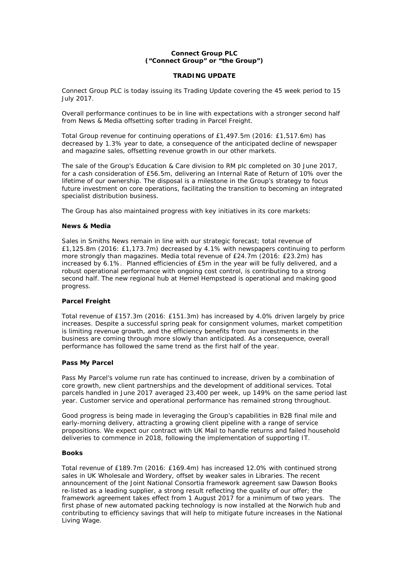# **Connect Group PLC ("Connect Group" or "the Group")**

## **TRADING UPDATE**

Connect Group PLC is today issuing its Trading Update covering the 45 week period to 15 July 2017.

Overall performance continues to be in line with expectations with a stronger second half from News & Media offsetting softer trading in Parcel Freight.

Total Group revenue for continuing operations of £1,497.5m (2016: £1,517.6m) has decreased by 1.3% year to date, a consequence of the anticipated decline of newspaper and magazine sales, offsetting revenue growth in our other markets.

The sale of the Group's Education & Care division to RM plc completed on 30 June 2017, for a cash consideration of £56.5m, delivering an Internal Rate of Return of 10% over the lifetime of our ownership. The disposal is a milestone in the Group's strategy to focus future investment on core operations, facilitating the transition to becoming an integrated specialist distribution business.

The Group has also maintained progress with key initiatives in its core markets:

## **News & Media**

Sales in Smiths News remain in line with our strategic forecast; total revenue of £1,125.8m (2016: £1,173.7m) decreased by 4.1% with newspapers continuing to perform more strongly than magazines. Media total revenue of £24.7m (2016: £23.2m) has increased by 6.1%. Planned efficiencies of £5m in the year will be fully delivered, and a robust operational performance with ongoing cost control, is contributing to a strong second half. The new regional hub at Hemel Hempstead is operational and making good progress.

# **Parcel Freight**

Total revenue of £157.3m (2016: £151.3m) has increased by 4.0% driven largely by price increases. Despite a successful spring peak for consignment volumes, market competition is limiting revenue growth, and the efficiency benefits from our investments in the business are coming through more slowly than anticipated. As a consequence, overall performance has followed the same trend as the first half of the year.

# **Pass My Parcel**

Pass My Parcel's volume run rate has continued to increase, driven by a combination of core growth, new client partnerships and the development of additional services. Total parcels handled in June 2017 averaged 23,400 per week, up 149% on the same period last year. Customer service and operational performance has remained strong throughout.

Good progress is being made in leveraging the Group's capabilities in B2B final mile and early-morning delivery, attracting a growing client pipeline with a range of service propositions. We expect our contract with UK Mail to handle returns and failed household deliveries to commence in 2018, following the implementation of supporting IT.

### **Books**

Total revenue of £189.7m (2016: £169.4m) has increased 12.0% with continued strong sales in UK Wholesale and Wordery, offset by weaker sales in Libraries. The recent announcement of the Joint National Consortia framework agreement saw Dawson Books re-listed as a leading supplier, a strong result reflecting the quality of our offer; the framework agreement takes effect from 1 August 2017 for a minimum of two years. The first phase of new automated packing technology is now installed at the Norwich hub and contributing to efficiency savings that will help to mitigate future increases in the National Living Wage.